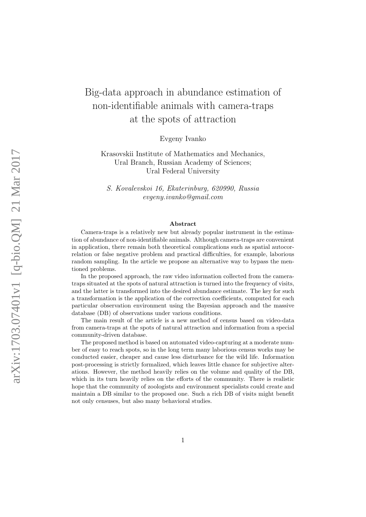# Big-data approach in abundance estimation of non-identifiable animals with camera-traps at the spots of attraction

Evgeny Ivanko

Krasovskii Institute of Mathematics and Mechanics, Ural Branch, Russian Academy of Sciences; Ural Federal University

S. Kovalevskoi 16, Ekaterinburg, 620990, Russia evgeny.ivanko@gmail.com

#### Abstract

Camera-traps is a relatively new but already popular instrument in the estimation of abundance of non-identifiable animals. Although camera-traps are convenient in application, there remain both theoretical complications such as spatial autocorrelation or false negative problem and practical difficulties, for example, laborious random sampling. In the article we propose an alternative way to bypass the mentioned problems.

In the proposed approach, the raw video information collected from the cameratraps situated at the spots of natural attraction is turned into the frequency of visits, and the latter is transformed into the desired abundance estimate. The key for such a transformation is the application of the correction coefficients, computed for each particular observation environment using the Bayesian approach and the massive database (DB) of observations under various conditions.

The main result of the article is a new method of census based on video-data from camera-traps at the spots of natural attraction and information from a special community-driven database.

The proposed method is based on automated video-capturing at a moderate number of easy to reach spots, so in the long term many laborious census works may be conducted easier, cheaper and cause less disturbance for the wild life. Information post-processing is strictly formalized, which leaves little chance for subjective alterations. However, the method heavily relies on the volume and quality of the DB, which in its turn heavily relies on the efforts of the community. There is realistic hope that the community of zoologists and environment specialists could create and maintain a DB similar to the proposed one. Such a rich DB of visits might benefit not only censuses, but also many behavioral studies.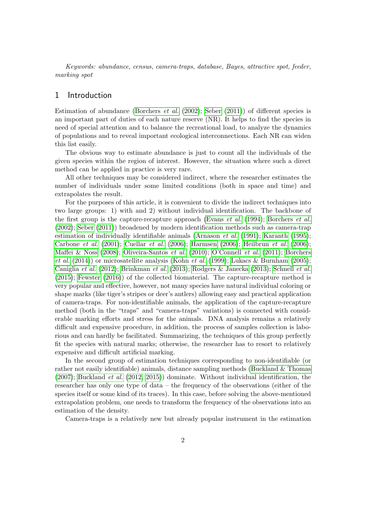Keywords: abundance, census, camera-traps, database, Bayes, attractive spot, feeder, marking spot

## 1 Introduction

Estimation of abundance [\(Borchers](#page-8-0) *et al.* [\(2002\)](#page-8-0); [Seber](#page-11-0) [\(2011\)](#page-11-0)) of different species is an important part of duties of each nature reserve (NR). It helps to find the species in need of special attention and to balance the recreational load, to analyze the dynamics of populations and to reveal important ecological interconnections. Each NR can widen this list easily.

The obvious way to estimate abundance is just to count all the individuals of the given species within the region of interest. However, the situation where such a direct method can be applied in practice is very rare.

All other techniques may be considered indirect, where the researcher estimates the number of individuals under some limited conditions (both in space and time) and extrapolates the result.

For the purposes of this article, it is convenient to divide the indirect techniques into two large groups: 1) with and 2) without individual identification. The backbone of the first group is the capture-recapture approach [\(Evans](#page-9-0) *et al.* [\(1994\)](#page-9-0); [Borchers](#page-8-0) *et al.* [\(2002\)](#page-8-0); [Seber](#page-11-0) [\(2011\)](#page-11-0)) broadened by modern identification methods such as camera-trap estimation of individually identifiable animals [\(Arnason](#page-8-1) et al.  $(1991)$ ; [Karanth](#page-10-0)  $(1995)$ ; [Carbone](#page-9-1) et al. [\(2001\)](#page-9-1); [Cuellar](#page-9-2) et al. [\(2006\)](#page-9-2); [Harmsen](#page-9-3) [\(2006\)](#page-9-3); [Heilbrun](#page-10-1) et al. [\(2006\)](#page-10-1); [Maffei & Noss](#page-10-2) [\(2008\)](#page-10-2); [Oliveira-Santos](#page-10-3) et al. [\(2010\)](#page-10-3); [O'Connell](#page-10-4) et al. [\(2011\)](#page-10-4); [Borchers](#page-8-2) [et al.](#page-8-2)  $(2014)$  or microsatellite analysis [\(Kohn](#page-10-5) et al.  $(1999)$ ; [Lukacs & Burnham](#page-10-6)  $(2005)$ ; [Caniglia](#page-9-4) et al. [\(2012\)](#page-9-4); [Brinkman](#page-8-3) et al. [\(2013\)](#page-8-3); [Rodgers & Janecka](#page-10-7) [\(2013\)](#page-10-7); [Schnell](#page-11-1) et al. [\(2015\)](#page-11-1); [Fewster](#page-9-5) [\(2016\)](#page-9-5)) of the collected biomaterial. The capture-recapture method is very popular and effective, however, not many species have natural individual coloring or shape marks (like tiger's stripes or deer's antlers) allowing easy and practical application of camera-traps. For non-identifiable animals, the application of the capture-recapture method (both in the "traps" and "camera-traps" variations) is connected with considerable marking efforts and stress for the animals. DNA analysis remains a relatively difficult and expensive procedure, in addition, the process of samples collection is laborious and can hardly be facilitated. Summarizing, the techniques of this group perfectly fit the species with natural marks; otherwise, the researcher has to resort to relatively expensive and difficult artificial marking.

In the second group of estimation techniques corresponding to non-identifiable (or rather not easily identifiable) animals, distance sampling methods [\(Buckland & Thomas](#page-9-6) [\(2007\)](#page-9-6); [Buckland](#page-9-7) et al. [\(2012,](#page-9-7) [2015\)](#page-9-8)) dominate. Without individual identification, the researcher has only one type of data – the frequency of the observations (either of the species itself or some kind of its traces). In this case, before solving the above-mentioned extrapolation problem, one needs to transform the frequency of the observations into an estimation of the density.

Camera-traps is a relatively new but already popular instrument in the estimation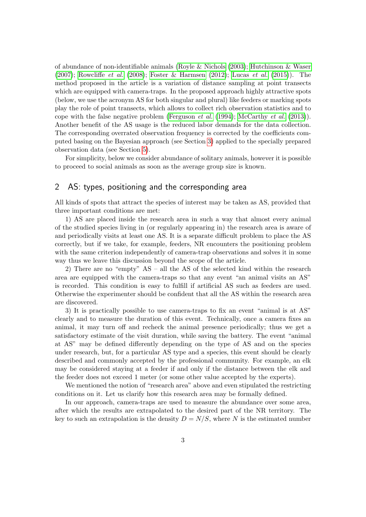of abundance of non-identifiable animals [\(Royle & Nichols](#page-11-2) [\(2003\)](#page-11-2); [Hutchinson & Waser](#page-10-8)  $(2007)$ ; [Rowcliffe](#page-10-9) *et al.*  $(2008)$ ; [Foster & Harmsen](#page-9-9)  $(2012)$ ; [Lucas](#page-10-10) *et al.*  $(2015)$ ). The method proposed in the article is a variation of distance sampling at point transects which are equipped with camera-traps. In the proposed approach highly attractive spots (below, we use the acronym AS for both singular and plural) like feeders or marking spots play the role of point transects, which allows to collect rich observation statistics and to cope with the false negative problem [\(Ferguson](#page-9-10) et al. [\(1994\)](#page-9-10); [McCarthy](#page-10-11) et al. [\(2013\)](#page-10-11)). Another benefit of the AS usage is the reduced labor demands for the data collection. The corresponding overrated observation frequency is corrected by the coefficients computed basing on the Bayesian approach (see Section [3\)](#page-3-0) applied to the specially prepared observation data (see Section [5\)](#page-6-0).

For simplicity, below we consider abundance of solitary animals, however it is possible to proceed to social animals as soon as the average group size is known.

# 2 AS: types, positioning and the corresponding area

All kinds of spots that attract the species of interest may be taken as AS, provided that three important conditions are met:

1) AS are placed inside the research area in such a way that almost every animal of the studied species living in (or regularly appearing in) the research area is aware of and periodically visits at least one AS. It is a separate difficult problem to place the AS correctly, but if we take, for example, feeders, NR encounters the positioning problem with the same criterion independently of camera-trap observations and solves it in some way thus we leave this discussion beyond the scope of the article.

2) There are no "empty" AS – all the AS of the selected kind within the research area are equipped with the camera-traps so that any event "an animal visits an AS" is recorded. This condition is easy to fulfill if artificial AS such as feeders are used. Otherwise the experimenter should be confident that all the AS within the research area are discovered.

3) It is practically possible to use camera-traps to fix an event "animal is at AS" clearly and to measure the duration of this event. Technically, once a camera fixes an animal, it may turn off and recheck the animal presence periodically; thus we get a satisfactory estimate of the visit duration, while saving the battery. The event "animal at AS" may be defined differently depending on the type of AS and on the species under research, but, for a particular AS type and a species, this event should be clearly described and commonly accepted by the professional community. For example, an elk may be considered staying at a feeder if and only if the distance between the elk and the feeder does not exceed 1 meter (or some other value accepted by the experts).

We mentioned the notion of "research area" above and even stipulated the restricting conditions on it. Let us clarify how this research area may be formally defined.

In our approach, camera-traps are used to measure the abundance over some area, after which the results are extrapolated to the desired part of the NR territory. The key to such an extrapolation is the density  $D = N/S$ , where N is the estimated number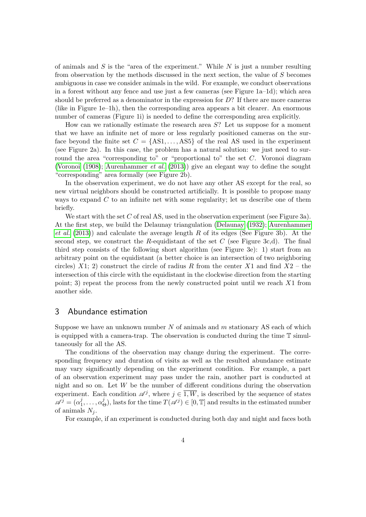of animals and  $S$  is the "area of the experiment." While  $N$  is just a number resulting from observation by the methods discussed in the next section, the value of S becomes ambiguous in case we consider animals in the wild. For example, we conduct observations in a forest without any fence and use just a few cameras (see Figure 1a–1d); which area should be preferred as a denominator in the expression for  $D$ ? If there are more cameras (like in Figure 1e–1h), then the corresponding area appears a bit clearer. An enormous number of cameras (Figure 1i) is needed to define the corresponding area explicitly.

How can we rationally estimate the research area  $S$ ? Let us suppose for a moment that we have an infinite net of more or less regularly positioned cameras on the surface beyond the finite set  $C = \{AS1, \ldots, AS5\}$  of the real AS used in the experiment (see Figure 2a). In this case, the problem has a natural solution: we just need to surround the area "corresponding to" or "proportional to" the set  $C$ . Voronoi diagram [\(Voronoi](#page-11-3) [\(1908\)](#page-11-3); [Aurenhammer](#page-8-4) *et al.* [\(2013\)](#page-8-4)) give an elegant way to define the sought "corresponding" area formally (see Figure 2b).

In the observation experiment, we do not have any other AS except for the real, so new virtual neighbors should be constructed artificially. It is possible to propose many ways to expand  $C$  to an infinite net with some regularity; let us describe one of them briefly.

We start with the set C of real AS, used in the observation experiment (see Figure 3a). At the first step, we build the Delaunay triangulation [\(Delaunay](#page-9-11) [\(1932\)](#page-9-11); [Aurenhammer](#page-8-4) [et al.](#page-8-4)  $(2013)$  and calculate the average length R of its edges (See Figure 3b). At the second step, we construct the R-equidistant of the set C (see Figure 3c,d). The final third step consists of the following short algorithm (see Figure 3e): 1) start from an arbitrary point on the equidistant (a better choice is an intersection of two neighboring circles) X1; 2) construct the circle of radius R from the center X1 and find  $X2$  – the intersection of this circle with the equidistant in the clockwise direction from the starting point; 3) repeat the process from the newly constructed point until we reach  $X1$  from another side.

## <span id="page-3-0"></span>3 Abundance estimation

Suppose we have an unknown number  $N$  of animals and  $m$  stationary AS each of which is equipped with a camera-trap. The observation is conducted during the time T simultaneously for all the AS.

The conditions of the observation may change during the experiment. The corresponding frequency and duration of visits as well as the resulted abundance estimate may vary significantly depending on the experiment condition. For example, a part of an observation experiment may pass under the rain, another part is conducted at night and so on. Let  $W$  be the number of different conditions during the observation experiment. Each condition  $\mathscr{A}^j$ , where  $j \in \overline{1, W}$ , is described by the sequence of states  $\overline{\mathscr{A}}^j = (\alpha_1^j$  $i_1^j, \ldots, \alpha_0^j$  $(\Theta)$ , lasts for the time  $T(\mathscr{A}^j) \in [0, T]$  and results in the estimated number of animals  $N_i$ .

For example, if an experiment is conducted during both day and night and faces both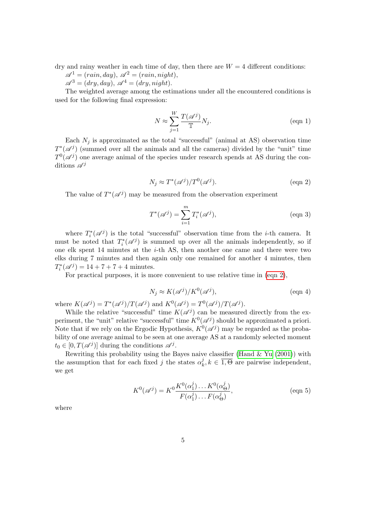dry and rainy weather in each time of day, then there are  $W = 4$  different conditions:

$$
\mathscr{A}^1 = (rain, day), \ \mathscr{A}^2 = (rain, night),
$$

 $\mathscr{A}^3 = (dry, day), \mathscr{A}^4 = (dry, night).$ 

The weighted average among the estimations under all the encountered conditions is used for the following final expression:

$$
N \approx \sum_{j=1}^{W} \frac{T(\mathscr{A}^j)}{\mathbb{T}} N_j.
$$
 (eqn 1)

Each  $N_j$  is approximated as the total "successful" (animal at AS) observation time  $T^*(\mathscr{A}^j)$  (summed over all the animals and all the cameras) divided by the "unit" time  $T^0(\mathscr{A}^j)$  one average animal of the species under research spends at AS during the conditions  $\mathscr{A}^j$ 

<span id="page-4-0"></span>
$$
N_j \approx T^*(\mathscr{A}^j)/T^0(\mathscr{A}^j). \tag{eqn 2}
$$

The value of  $T^*(\mathscr{A}^j)$  may be measured from the observation experiment

$$
T^*(\mathscr{A}^j) = \sum_{i=1}^m T_i^*(\mathscr{A}^j),\tag{eqn 3}
$$

where  $T_i^*(\mathscr{A}^j)$  is the total "successful" observation time from the *i*-th camera. It must be noted that  $T_i^*(\mathscr{A}^j)$  is summed up over all the animals independently, so if one elk spent 14 minutes at the i-th AS, then another one came and there were two elks during 7 minutes and then again only one remained for another 4 minutes, then  $T_i^*(\mathscr{A}^j) = 14 + 7 + 7 + 4$  minutes.

For practical purposes, it is more convenient to use relative time in [\(eqn 2\)](#page-4-0),

<span id="page-4-1"></span>
$$
N_j \approx K(\mathscr{A}^j)/K^0(\mathscr{A}^j),\tag{eqn 4}
$$

where  $K(\mathscr{A}^j) = T^*(\mathscr{A}^j)/T(\mathscr{A}^j)$  and  $K^0(\mathscr{A}^j) = T^0(\mathscr{A}^j)/T(\mathscr{A}^j)$ .

While the relative "successful" time  $K(\mathscr{A}^j)$  can be measured directly from the experiment, the "unit" relative "successful" time  $K^0(\mathscr{A}^j)$  should be approximated a priori. Note that if we rely on the Ergodic Hypothesis,  $K^0(\mathscr{A}^j)$  may be regarded as the probability of one average animal to be seen at one average AS at a randomly selected moment  $t_0 \in [0, T(\mathscr{A}^j)]$  during the conditions  $\mathscr{A}^j$ .

Rewriting this probability using the Bayes naive classifier (Hand  $&$  Yu [\(2001\)](#page-9-12)) with the assumption that for each fixed j the states  $\alpha_k^j$  $k, k \in \overline{1, \Theta}$  are pairwise independent, we get

$$
K^{0}(\mathscr{A}^{j}) = K^{0}\frac{K^{0}(\alpha_{1}^{j})\dots K^{0}(\alpha_{\Theta}^{j})}{F(\alpha_{1}^{j})\dots F(\alpha_{\Theta}^{j})},
$$
 (eqn 5)

where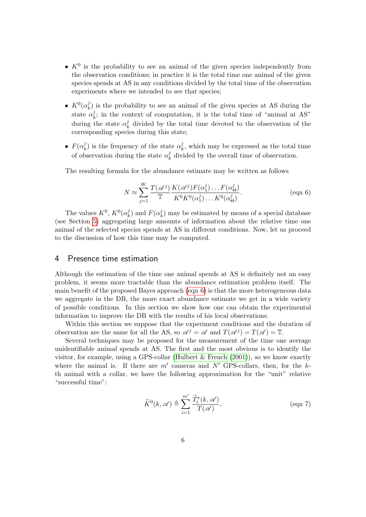- $K^0$  is the probability to see an animal of the given species independently from the observation conditions; in practice it is the total time one animal of the given species spends at AS in any conditions divided by the total time of the observation experiments where we intended to see that species;
- $K^0(\alpha_k^j)$  $\binom{J}{k}$  is the probability to see an animal of the given species at AS during the state  $\alpha_k^j$  $\mathcal{L}_k^j$ ; in the context of computation, it is the total time of "animal at AS" during the state  $\alpha_k^j$  $\lambda_k^j$  divided by the total time devoted to the observation of the corresponding species during this state;
- $F(\alpha_k^j)$  $\mathbf{z}_k^j$ ) is the frequency of the state  $\alpha_k^j$  $\lambda_k^j$ , which may be expressed as the total time of observation during the state  $\alpha<sub>i</sub><sup>j</sup>$  $\frac{d}{k}$  divided by the overall time of observation.

The resulting formula for the abundance estimate may be written as follows

<span id="page-5-0"></span>
$$
N \approx \sum_{j=1}^{W} \frac{T(\mathscr{A}^j)}{\mathbb{T}} \frac{K(\mathscr{A}^j) F(\alpha_1^j) \dots F(\alpha_\Theta^j)}{K^0 K^0(\alpha_1^j) \dots K^0(\alpha_\Theta^j)}.
$$
 (eqn 6)

The values  $K^0$ ,  $K^0(\alpha_k^j)$  $\binom{j}{k}$  and  $F(\alpha_k^j)$  $\binom{J}{k}$  may be estimated by means of a special database (see Section [5\)](#page-6-0) aggregating large amounts of information about the relative time one animal of the selected species spends at AS in different conditions. Now, let us proceed to the discussion of how this time may be computed.

### <span id="page-5-1"></span>4 Presence time estimation

Although the estimation of the time one animal spends at AS is definitely not an easy problem, it seems more tractable than the abundance estimation problem itself. The main benefit of the proposed Bayes approach (eqn  $6$ ) is that the more heterogeneous data we aggregate in the DB, the more exact abundance estimate we get in a wide variety of possible conditions. In this section we show how one can obtain the experimental information to improve the DB with the results of his local observations.

Within this section we suppose that the experiment conditions and the duration of observation are the same for all the AS, so  $\mathscr{A}^j = \mathscr{A}$  and  $T(\mathscr{A}^j) = T(\mathscr{A}) = \mathbb{T}$ .

Several techniques may be proposed for the measurement of the time one average unidentifiable animal spends at AS. The first and the most obvious is to identify the visitor, for example, using a GPS-collar (Hulbert  $\&$  French [\(2001\)](#page-10-12)), so we know exactly where the animal is. If there are  $m'$  cameras and  $N'$  GPS-collars, then, for the kth animal with a collar, we have the following approximation for the "unit" relative "successful time":

$$
\widetilde{K}^0(k, \mathscr{A}) \triangleq \sum_{i=1}^{m'} \frac{\widetilde{T}_i^*(k, \mathscr{A})}{T(\mathscr{A})},
$$
\n
$$
\text{(eqn 7)}
$$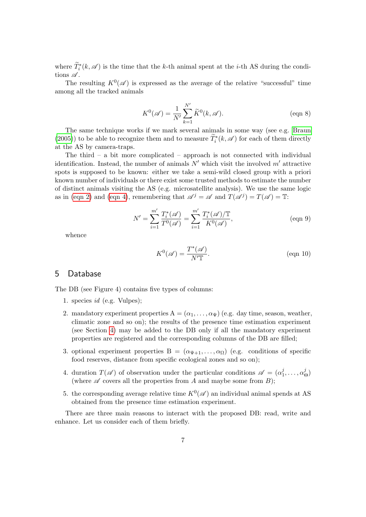where  $\tilde{T}_i^*(k, \mathscr{A})$  is the time that the k-th animal spent at the *i*-th AS during the conditions  $\mathscr A$ .

The resulting  $K^0(\mathscr{A})$  is expressed as the average of the relative "successful" time among all the tracked animals

$$
K^{0}(\mathscr{A}) = \frac{1}{N'} \sum_{k=1}^{N'} \widetilde{K}^{0}(k, \mathscr{A}).
$$
 (eqn 8)

The same technique works if we mark several animals in some way (see e.g. [Braun](#page-8-5) [\(2005\)](#page-8-5)) to be able to recognize them and to measure  $\tilde{T}_i^*(k, \mathscr{A})$  for each of them directly at the AS by camera-traps.

The third – a bit more complicated – approach is not connected with individual identification. Instead, the number of animals  $N'$  which visit the involved m' attractive spots is supposed to be known: either we take a semi-wild closed group with a priori known number of individuals or there exist some trusted methods to estimate the number of distinct animals visiting the AS (e.g. microsatellite analysis). We use the same logic as in [\(eqn 2\)](#page-4-0) and [\(eqn 4\)](#page-4-1), remembering that  $\mathscr{A}^j = \mathscr{A}$  and  $T(\mathscr{A}^j) = T(\mathscr{A}) = \mathbb{T}$ :

$$
N' = \sum_{i=1}^{m'} \frac{T_i^*(\mathcal{A})}{T^0(\mathcal{A})} = \sum_{i=1}^{m'} \frac{T_i^*(\mathcal{A})/T}{K^0(\mathcal{A})},
$$
 (eqn 9)

whence

$$
K^{0}(\mathscr{A}) = \frac{T^{*}(\mathscr{A})}{N^{'}\mathbb{T}}.
$$
 (eqn 10)

# <span id="page-6-0"></span>5 Database

The DB (see Figure 4) contains five types of columns:

- 1. species id (e.g. Vulpes);
- 2. mandatory experiment properties  $A = (\alpha_1, \ldots, \alpha_{\Psi})$  (e.g. day time, season, weather, climatic zone and so on); the results of the presence time estimation experiment (see Section [4\)](#page-5-1) may be added to the DB only if all the mandatory experiment properties are registered and the corresponding columns of the DB are filled;
- 3. optional experiment properties  $B = (\alpha_{\Psi+1}, \dots, \alpha_{\Omega})$  (e.g. conditions of specific food reserves, distance from specific ecological zones and so on);
- 4. duration  $T(\mathscr{A})$  of observation under the particular conditions  $\mathscr{A} = (\alpha_1^j)$  $i_1^j, \ldots, \alpha_0^j$  $\theta^{\jmath}_{\Theta}$ (where  $\mathscr A$  covers all the properties from A and maybe some from B);
- 5. the corresponding average relative time  $K^0(\mathscr{A})$  an individual animal spends at AS obtained from the presence time estimation experiment.

There are three main reasons to interact with the proposed DB: read, write and enhance. Let us consider each of them briefly.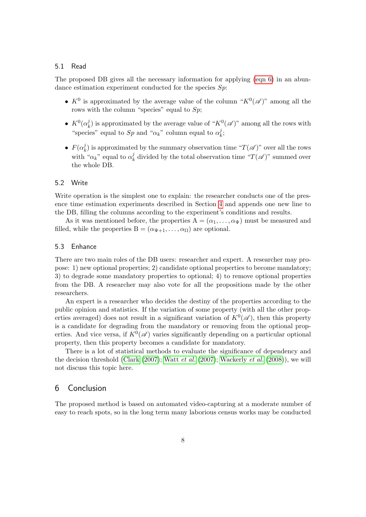#### 5.1 Read

The proposed DB gives all the necessary information for applying [\(eqn 6\)](#page-5-0) in an abundance estimation experiment conducted for the species  $Sp$ :

- $K^0$  is approximated by the average value of the column " $K^0(\mathscr{A})$ " among all the rows with the column "species" equal to  $Sp$ ;
- $K^0(\alpha_k^j)$  $\mu_k^j$ ) is approximated by the average value of " $K^0(\mathscr{A})$ " among all the rows with "species" equal to  $Sp$  and " $\alpha_k$ " column equal to  $\alpha_k^j$  $\frac{j}{k}$
- $\bullet$   $F(\alpha _k^j)$  $\mathcal{L}_k^{\{I\}}$  is approximated by the summary observation time " $T(\mathscr{A})$ " over all the rows with " $\alpha_k$ " equal to  $\alpha_k^j$ <sup>*l*</sup><sub>k</sub> divided by the total observation time " $T(\mathscr{A})$ " summed over the whole DB.

#### 5.2 Write

Write operation is the simplest one to explain: the researcher conducts one of the presence time estimation experiments described in Section [4](#page-5-1) and appends one new line to the DB, filling the columns according to the experiment's conditions and results.

As it was mentioned before, the properties  $A = (\alpha_1, \dots, \alpha_{\Psi})$  must be measured and filled, while the properties  $B = (\alpha_{\Psi+1}, \dots, \alpha_{\Omega})$  are optional.

#### 5.3 Enhance

There are two main roles of the DB users: researcher and expert. A researcher may propose: 1) new optional properties; 2) candidate optional properties to become mandatory; 3) to degrade some mandatory properties to optional; 4) to remove optional properties from the DB. A researcher may also vote for all the propositions made by the other researchers.

An expert is a researcher who decides the destiny of the properties according to the public opinion and statistics. If the variation of some property (with all the other properties averaged) does not result in a significant variation of  $K^0(\mathscr{A})$ , then this property is a candidate for degrading from the mandatory or removing from the optional properties. And vice versa, if  $K^0(\mathscr{A})$  varies significantly depending on a particular optional property, then this property becomes a candidate for mandatory.

There is a lot of statistical methods to evaluate the significance of dependency and the decision threshold [\(Clark](#page-9-13)  $(2007)$ ; [Watt](#page-11-4) *et al.*  $(2007)$ ; [Wackerly](#page-11-5) *et al.*  $(2008)$ ), we will not discuss this topic here.

## 6 Conclusion

The proposed method is based on automated video-capturing at a moderate number of easy to reach spots, so in the long term many laborious census works may be conducted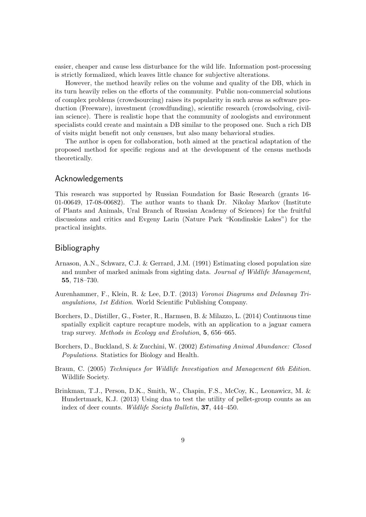easier, cheaper and cause less disturbance for the wild life. Information post-processing is strictly formalized, which leaves little chance for subjective alterations.

However, the method heavily relies on the volume and quality of the DB, which in its turn heavily relies on the efforts of the community. Public non-commercial solutions of complex problems (crowdsourcing) raises its popularity in such areas as software production (Freeware), investment (crowdfunding), scientific research (crowdsolving, civilian science). There is realistic hope that the community of zoologists and environment specialists could create and maintain a DB similar to the proposed one. Such a rich DB of visits might benefit not only censuses, but also many behavioral studies.

The author is open for collaboration, both aimed at the practical adaptation of the proposed method for specific regions and at the development of the census methods theoretically.

## Acknowledgements

This research was supported by Russian Foundation for Basic Research (grants 16- 01-00649, 17-08-00682). The author wants to thank Dr. Nikolay Markov (Institute of Plants and Animals, Ural Branch of Russian Academy of Sciences) for the fruitful discussions and critics and Evgeny Larin (Nature Park "Kondinskie Lakes") for the practical insights.

## Bibliography

- <span id="page-8-1"></span>Arnason, A.N., Schwarz, C.J. & Gerrard, J.M. (1991) Estimating closed population size and number of marked animals from sighting data. Journal of Wildlife Management, 55, 718–730.
- <span id="page-8-4"></span>Aurenhammer, F., Klein, R. & Lee, D.T. (2013) Voronoi Diagrams and Delaunay Triangulations, 1st Edition. World Scientific Publishing Company.
- <span id="page-8-2"></span>Borchers, D., Distiller, G., Foster, R., Harmsen, B. & Milazzo, L. (2014) Continuous time spatially explicit capture recapture models, with an application to a jaguar camera trap survey. Methods in Ecology and Evolution, 5, 656–665.
- <span id="page-8-0"></span>Borchers, D., Buckland, S. & Zucchini, W. (2002) Estimating Animal Abundance: Closed Populations. Statistics for Biology and Health.
- <span id="page-8-5"></span>Braun, C. (2005) Techniques for Wildlife Investigation and Management 6th Edition. Wildlife Society.
- <span id="page-8-3"></span>Brinkman, T.J., Person, D.K., Smith, W., Chapin, F.S., McCoy, K., Leonawicz, M. & Hundertmark, K.J. (2013) Using dna to test the utility of pellet-group counts as an index of deer counts. Wildlife Society Bulletin, 37, 444–450.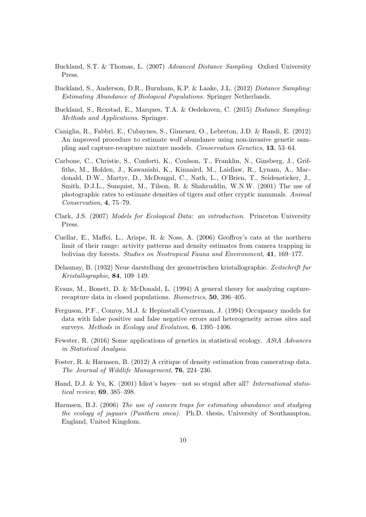- <span id="page-9-6"></span>Buckland, S.T. & Thomas, L. (2007) Advanced Distance Sampling. Oxford University Press.
- <span id="page-9-7"></span>Buckland, S., Anderson, D.R., Burnham, K.P. & Laake, J.L. (2012) Distance Sampling: Estimating Abundance of Biological Populations. Springer Netherlands.
- <span id="page-9-8"></span>Buckland, S., Rexstad, E., Marques, T.A. & Oedekoven, C. (2015) Distance Sampling: Methods and Applications. Springer.
- <span id="page-9-4"></span>Caniglia, R., Fabbri, E., Cubaynes, S., Gimenez, O., Lebreton, J.D. & Randi, E. (2012) An improved procedure to estimate wolf abundance using non-invasive genetic sampling and capture-recapture mixture models. Conservation Genetics, 13, 53–64.
- <span id="page-9-1"></span>Carbone, C., Christie, S., Conforti, K., Coulson, T., Franklin, N., Ginsberg, J., Griffiths, M., Holden, J., Kawanishi, K., Kinnaird, M., Laidlaw, R., Lynam, A., Macdonald, D.W., Martyr, D., McDougal, C., Nath, L., O'Brien, T., Seidensticker, J., Smith, D.J.L., Sunquist, M., Tilson, R. & Shahruddin, W.N.W. (2001) The use of photographic rates to estimate densities of tigers and other cryptic mammals. Animal Conservation, 4, 75–79.
- <span id="page-9-13"></span>Clark, J.S. (2007) Models for Ecological Data: an introduction. Princeton University Press.
- <span id="page-9-2"></span>Cuellar, E., Maffei, L., Arispe, R. & Noss, A. (2006) Geoffroy's cats at the northern limit of their range: activity patterns and density estimates from camera trapping in bolivian dry forests. Studies on Neotropical Fauna and Environment, 41, 169–177.
- <span id="page-9-11"></span>Delaunay, B. (1932) Neue darstellung der geometrischen kristallographie. Zeitschrift fur Kristallographie, 84, 109–149.
- <span id="page-9-0"></span>Evans, M., Bonett, D. & McDonald, L. (1994) A general theory for analyzing capturerecapture data in closed populations. Biometrics, 50, 396–405.
- <span id="page-9-10"></span>Ferguson, P.F., Conroy, M.J. & Hepinstall-Cymerman, J. (1994) Occupancy models for data with false positive and false negative errors and heterogeneity across sites and surveys. Methods in Ecology and Evolution, 6, 1395–1406.
- <span id="page-9-5"></span>Fewster, R. (2016) Some applications of genetics in statistical ecology. AStA Advances in Statistical Analysis.
- <span id="page-9-9"></span>Foster, R. & Harmsen, B. (2012) A critique of density estimation from cameratrap data. The Journal of Wildlife Management, 76, 224–236.
- <span id="page-9-12"></span>Hand, D.J. & Yu, K. (2001) Idiot's bayes—not so stupid after all? International statistical review, 69, 385–398.
- <span id="page-9-3"></span>Harmsen, B.J. (2006) The use of camera traps for estimating abundance and studying the ecology of jaguars (Panthera onca). Ph.D. thesis, University of Southampton, England, United Kingdom.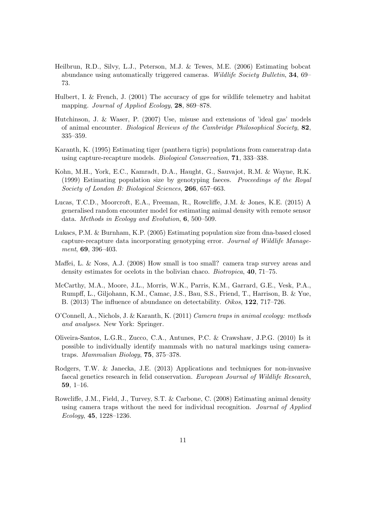- <span id="page-10-1"></span>Heilbrun, R.D., Silvy, L.J., Peterson, M.J. & Tewes, M.E. (2006) Estimating bobcat abundance using automatically triggered cameras. Wildlife Society Bulletin, 34, 69– 73.
- <span id="page-10-12"></span>Hulbert, I. & French, J. (2001) The accuracy of gps for wildlife telemetry and habitat mapping. Journal of Applied Ecology, 28, 869–878.
- <span id="page-10-8"></span>Hutchinson, J. & Waser, P. (2007) Use, misuse and extensions of 'ideal gas' models of animal encounter. Biological Reviews of the Cambridge Philosophical Society, 82, 335–359.
- <span id="page-10-0"></span>Karanth, K. (1995) Estimating tiger (panthera tigris) populations from cameratrap data using capture-recapture models. Biological Conservation, 71, 333–338.
- <span id="page-10-5"></span>Kohn, M.H., York, E.C., Kamradt, D.A., Haught, G., Sauvajot, R.M. & Wayne, R.K. (1999) Estimating population size by genotyping faeces. Proceedings of the Royal Society of London B: Biological Sciences, 266, 657–663.
- <span id="page-10-10"></span>Lucas, T.C.D., Moorcroft, E.A., Freeman, R., Rowcliffe, J.M. & Jones, K.E. (2015) A generalised random encounter model for estimating animal density with remote sensor data. Methods in Ecology and Evolution, 6, 500–509.
- <span id="page-10-6"></span>Lukacs, P.M. & Burnham, K.P. (2005) Estimating population size from dna-based closed capture-recapture data incorporating genotyping error. Journal of Wildlife Management, 69, 396–403.
- <span id="page-10-2"></span>Maffei, L. & Noss, A.J. (2008) How small is too small? camera trap survey areas and density estimates for ocelots in the bolivian chaco. Biotropica, 40, 71–75.
- <span id="page-10-11"></span>McCarthy, M.A., Moore, J.L., Morris, W.K., Parris, K.M., Garrard, G.E., Vesk, P.A., Rumpff, L., Giljohann, K.M., Camac, J.S., Bau, S.S., Friend, T., Harrison, B. & Yue, B. (2013) The influence of abundance on detectability. Oikos, 122, 717–726.
- <span id="page-10-4"></span>O'Connell, A., Nichols, J. & Karanth, K. (2011) Camera traps in animal ecology: methods and analyses. New York: Springer.
- <span id="page-10-3"></span>Oliveira-Santos, L.G.R., Zucco, C.A., Antunes, P.C. & Crawshaw, J.P.G. (2010) Is it possible to individually identify mammals with no natural markings using cameratraps. Mammalian Biology, 75, 375–378.
- <span id="page-10-7"></span>Rodgers, T.W. & Janecka, J.E. (2013) Applications and techniques for non-invasive faecal genetics research in felid conservation. European Journal of Wildlife Research, 59, 1–16.
- <span id="page-10-9"></span>Rowcliffe, J.M., Field, J., Turvey, S.T. & Carbone, C. (2008) Estimating animal density using camera traps without the need for individual recognition. Journal of Applied Ecology, 45, 1228–1236.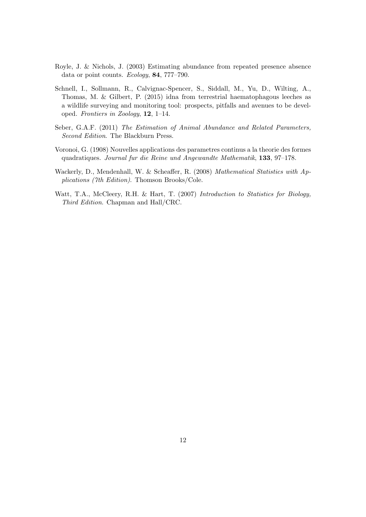- <span id="page-11-2"></span>Royle, J. & Nichols, J. (2003) Estimating abundance from repeated presence absence data or point counts. Ecology, 84, 777–790.
- <span id="page-11-1"></span>Schnell, I., Sollmann, R., Calvignac-Spencer, S., Siddall, M., Yu, D., Wilting, A., Thomas, M. & Gilbert, P. (2015) idna from terrestrial haematophagous leeches as a wildlife surveying and monitoring tool: prospects, pitfalls and avenues to be developed. Frontiers in Zoology, 12, 1–14.
- <span id="page-11-0"></span>Seber, G.A.F. (2011) The Estimation of Animal Abundance and Related Parameters, Second Edition. The Blackburn Press.
- <span id="page-11-3"></span>Voronoi, G. (1908) Nouvelles applications des parametres continus a la theorie des formes quadratiques. Journal fur die Reine und Angewandte Mathematik, 133, 97–178.
- <span id="page-11-5"></span>Wackerly, D., Mendenhall, W. & Scheaffer, R. (2008) Mathematical Statistics with Applications (7th Edition). Thomson Brooks/Cole.
- <span id="page-11-4"></span>Watt, T.A., McCleery, R.H. & Hart, T. (2007) Introduction to Statistics for Biology, Third Edition. Chapman and Hall/CRC.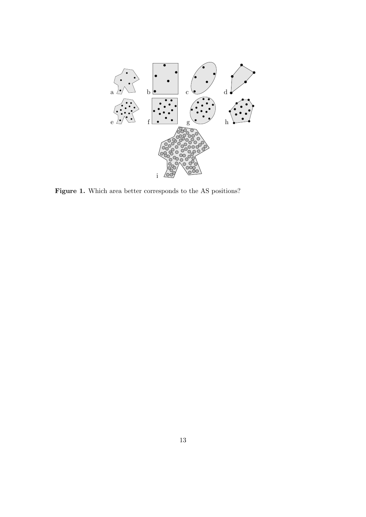

Figure 1. Which area better corresponds to the AS positions?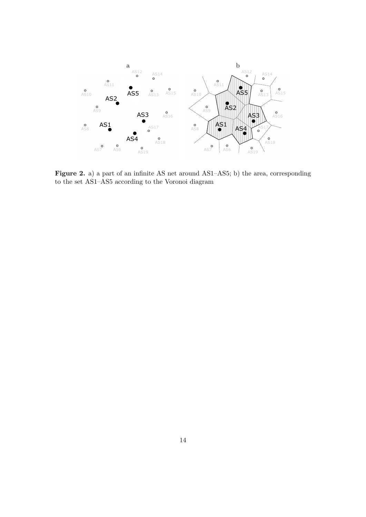

Figure 2. a) a part of an infinite AS net around AS1–AS5; b) the area, corresponding to the set AS1–AS5 according to the Voronoi diagram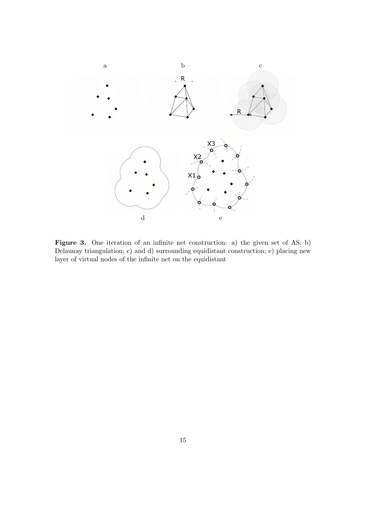

Figure 3. One iteration of an infinite net construction: a) the given set of AS; b) Delaunay triangulation; c) and d) surrounding equidistant construction; e) placing new layer of virtual nodes of the infinite net on the equidistant